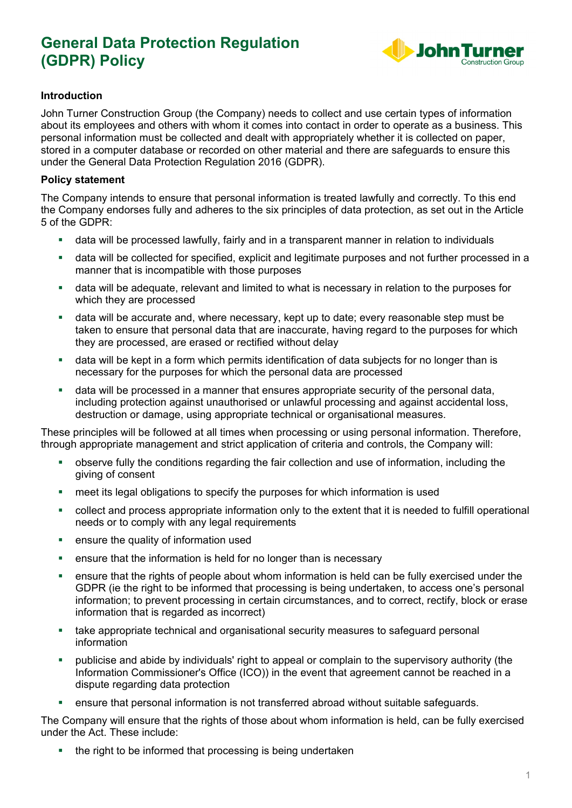

## **Introduction**

John Turner Construction Group (the Company) needs to collect and use certain types of information about its employees and others with whom it comes into contact in order to operate as a business. This personal information must be collected and dealt with appropriately whether it is collected on paper, stored in a computer database or recorded on other material and there are safeguards to ensure this under the General Data Protection Regulation 2016 (GDPR).

### **Policy statement**

The Company intends to ensure that personal information is treated lawfully and correctly. To this end the Company endorses fully and adheres to the six principles of data protection, as set out in the Article 5 of the GDPR:

- data will be processed lawfully, fairly and in a transparent manner in relation to individuals
- data will be collected for specified, explicit and legitimate purposes and not further processed in a manner that is incompatible with those purposes
- data will be adequate, relevant and limited to what is necessary in relation to the purposes for which they are processed
- data will be accurate and, where necessary, kept up to date; every reasonable step must be taken to ensure that personal data that are inaccurate, having regard to the purposes for which they are processed, are erased or rectified without delay
- data will be kept in a form which permits identification of data subjects for no longer than is necessary for the purposes for which the personal data are processed
- data will be processed in a manner that ensures appropriate security of the personal data, including protection against unauthorised or unlawful processing and against accidental loss, destruction or damage, using appropriate technical or organisational measures.

These principles will be followed at all times when processing or using personal information. Therefore, through appropriate management and strict application of criteria and controls, the Company will:

- observe fully the conditions regarding the fair collection and use of information, including the giving of consent
- meet its legal obligations to specify the purposes for which information is used
- collect and process appropriate information only to the extent that it is needed to fulfill operational needs or to comply with any legal requirements
- **EXECUTE:** ensure the quality of information used
- **EXE** ensure that the information is held for no longer than is necessary
- ensure that the rights of people about whom information is held can be fully exercised under the GDPR (ie the right to be informed that processing is being undertaken, to access one's personal information; to prevent processing in certain circumstances, and to correct, rectify, block or erase information that is regarded as incorrect)
- take appropriate technical and organisational security measures to safeguard personal information
- publicise and abide by individuals' right to appeal or complain to the supervisory authority (the Information Commissioner's Office (ICO)) in the event that agreement cannot be reached in a dispute regarding data protection
- ensure that personal information is not transferred abroad without suitable safeguards.

The Company will ensure that the rights of those about whom information is held, can be fully exercised under the Act. These include:

• the right to be informed that processing is being undertaken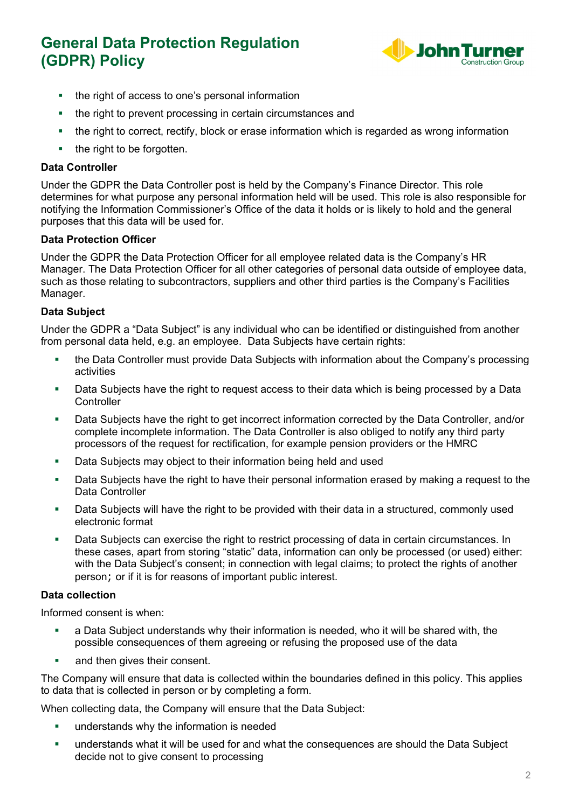

- the right of access to one's personal information
- the right to prevent processing in certain circumstances and
- the right to correct, rectify, block or erase information which is regarded as wrong information
- $\blacksquare$  the right to be forgotten.

## **Data Controller**

Under the GDPR the Data Controller post is held by the Company's Finance Director. This role determines for what purpose any personal information held will be used. This role is also responsible for notifying the Information Commissioner's Office of the data it holds or is likely to hold and the general purposes that this data will be used for.

### **Data Protection Officer**

Under the GDPR the Data Protection Officer for all employee related data is the Company's HR Manager. The Data Protection Officer for all other categories of personal data outside of employee data, such as those relating to subcontractors, suppliers and other third parties is the Company's Facilities Manager.

## **Data Subject**

Under the GDPR a "Data Subject" is any individual who can be identified or distinguished from another from personal data held, e.g. an employee. Data Subjects have certain rights:

- the Data Controller must provide Data Subjects with information about the Company's processing activities
- **Data Subjects have the right to request access to their data which is being processed by a Data Controller**
- Data Subjects have the right to get incorrect information corrected by the Data Controller, and/or complete incomplete information. The Data Controller is also obliged to notify any third party processors of the request for rectification, for example pension providers or the HMRC
- Data Subjects may object to their information being held and used
- Data Subjects have the right to have their personal information erased by making a request to the Data Controller
- Data Subjects will have the right to be provided with their data in a structured, commonly used electronic format
- **Data Subjects can exercise the right to restrict processing of data in certain circumstances. In** these cases, apart from storing "static" data, information can only be processed (or used) either: with the Data Subject's consent; in connection with legal claims; to protect the rights of another person; or if it is for reasons of important public interest.

## **Data collection**

Informed consent is when:

- a Data Subject understands why their information is needed, who it will be shared with, the possible consequences of them agreeing or refusing the proposed use of the data
- and then gives their consent.

The Company will ensure that data is collected within the boundaries defined in this policy. This applies to data that is collected in person or by completing a form.

When collecting data, the Company will ensure that the Data Subject:

- **understands why the information is needed**
- understands what it will be used for and what the consequences are should the Data Subject decide not to give consent to processing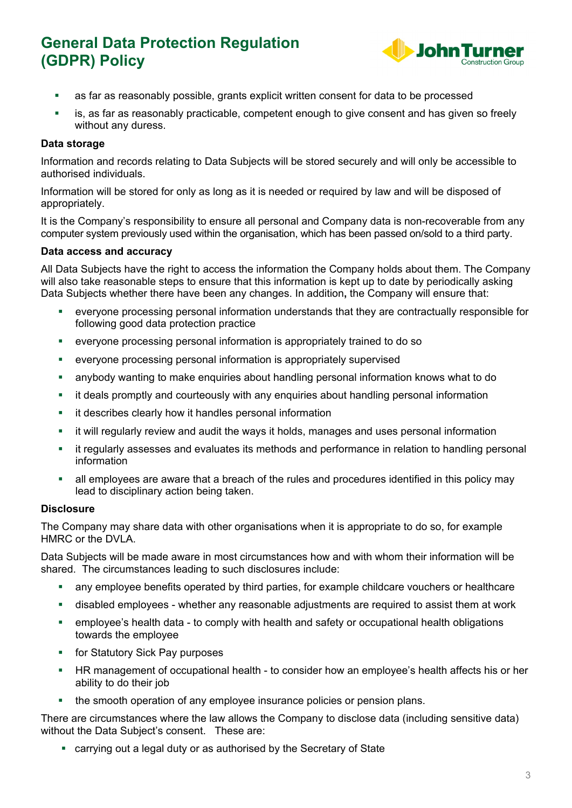

- as far as reasonably possible, grants explicit written consent for data to be processed
- is, as far as reasonably practicable, competent enough to give consent and has given so freely without any duress.

### **Data storage**

Information and records relating to Data Subjects will be stored securely and will only be accessible to authorised individuals.

Information will be stored for only as long as it is needed or required by law and will be disposed of appropriately.

It is the Company's responsibility to ensure all personal and Company data is non-recoverable from any computer system previously used within the organisation, which has been passed on/sold to a third party.

### **Data access and accuracy**

All Data Subjects have the right to access the information the Company holds about them. The Company will also take reasonable steps to ensure that this information is kept up to date by periodically asking Data Subjects whether there have been any changes. In addition**,** the Company will ensure that:

- everyone processing personal information understands that they are contractually responsible for following good data protection practice
- everyone processing personal information is appropriately trained to do so
- everyone processing personal information is appropriately supervised
- anybody wanting to make enquiries about handling personal information knows what to do
- **EXT** it deals promptly and courteously with any enquiries about handling personal information
- **EXECT** it describes clearly how it handles personal information
- it will regularly review and audit the ways it holds, manages and uses personal information
- it regularly assesses and evaluates its methods and performance in relation to handling personal information
- all employees are aware that a breach of the rules and procedures identified in this policy may lead to disciplinary action being taken.

### **Disclosure**

The Company may share data with other organisations when it is appropriate to do so, for example HMRC or the DVLA.

Data Subjects will be made aware in most circumstances how and with whom their information will be shared. The circumstances leading to such disclosures include:

- any employee benefits operated by third parties, for example childcare vouchers or healthcare
- disabled employees whether any reasonable adjustments are required to assist them at work
- employee's health data to comply with health and safety or occupational health obligations towards the employee
- **For Statutory Sick Pay purposes**
- HR management of occupational health to consider how an employee's health affects his or her ability to do their job
- the smooth operation of any employee insurance policies or pension plans.

There are circumstances where the law allows the Company to disclose data (including sensitive data) without the Data Subject's consent. These are:

carrying out a legal duty or as authorised by the Secretary of State